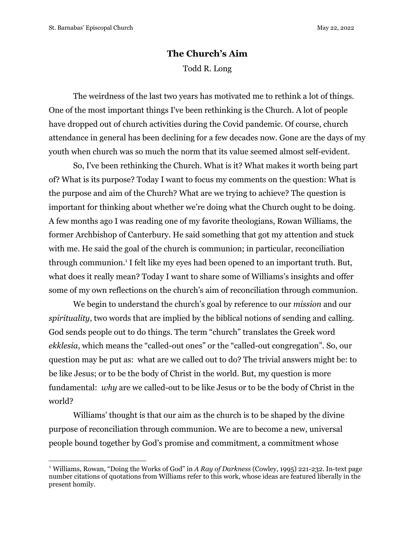## **The Church's Aim** Todd R. Long

The weirdness of the last two years has motivated me to rethink a lot of things. One of the most important things I've been rethinking is the Church. A lot of people have dropped out of church activities during the Covid pandemic. Of course, church attendance in general has been declining for a few decades now. Gone are the days of my youth when church was so much the norm that its value seemed almost self-evident.

So, I've been rethinking the Church. What is it? What makes it worth being part of? What is its purpose? Today I want to focus my comments on the question: What is the purpose and aim of the Church? What are we trying to achieve? The question is important for thinking about whether we're doing what the Church ought to be doing. A few months ago I was reading one of my favorite theologians, Rowan Williams, the former Archbishop of Canterbury. He said something that got my attention and stuck with me. He said the goal of the church is communion; in particular, reconciliation through communion.<sup>1</sup> I felt like my eyes had been opened to an important truth. But, what does it really mean? Today I want to share some of Williams's insights and offer some of my own reflections on the church's aim of reconciliation through communion.

We begin to understand the church's goal by reference to our *mission* and our *spirituality*, two words that are implied by the biblical notions of sending and calling. God sends people out to do things. The term "church" translates the Greek word *ekklesia*, which means the "called-out ones" or the "called-out congregation". So, our question may be put as: what are we called out to do? The trivial answers might be: to be like Jesus; or to be the body of Christ in the world. But, my question is more fundamental: *why* are we called-out to be like Jesus or to be the body of Christ in the world?

Williams' thought is that our aim as the church is to be shaped by the divine purpose of reconciliation through communion. We are to become a new, universal people bound together by God's promise and commitment, a commitment whose

<sup>1</sup> Williams, Rowan, "Doing the Works of God" in *A Ray of Darkness* (Cowley, 1995) 221-232. In-text page number citations of quotations from Williams refer to this work, whose ideas are featured liberally in the present homily.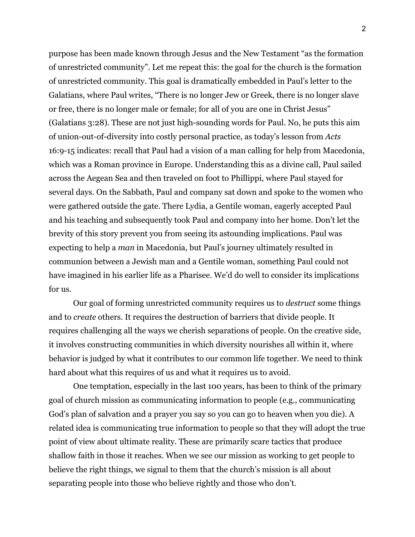purpose has been made known through Jesus and the New Testament "as the formation of unrestricted community". Let me repeat this: the goal for the church is the formation of unrestricted community. This goal is dramatically embedded in Paul's letter to the Galatians, where Paul writes, "There is no longer Jew or Greek, there is no longer slave or free, there is no longer male or female; for all of you are one in Christ Jesus" (Galatians 3:28). These are not just high-sounding words for Paul. No, he puts this aim of union-out-of-diversity into costly personal practice, as today's lesson from *Acts* 16:9-15 indicates: recall that Paul had a vision of a man calling for help from Macedonia, which was a Roman province in Europe. Understanding this as a divine call, Paul sailed across the Aegean Sea and then traveled on foot to Phillippi, where Paul stayed for several days. On the Sabbath, Paul and company sat down and spoke to the women who were gathered outside the gate. There Lydia, a Gentile woman, eagerly accepted Paul and his teaching and subsequently took Paul and company into her home. Don't let the brevity of this story prevent you from seeing its astounding implications. Paul was expecting to help a *man* in Macedonia, but Paul's journey ultimately resulted in communion between a Jewish man and a Gentile woman, something Paul could not have imagined in his earlier life as a Pharisee. We'd do well to consider its implications for us.

Our goal of forming unrestricted community requires us to *destruct* some things and to *create* others. It requires the destruction of barriers that divide people. It requires challenging all the ways we cherish separations of people. On the creative side, it involves constructing communities in which diversity nourishes all within it, where behavior is judged by what it contributes to our common life together. We need to think hard about what this requires of us and what it requires us to avoid.

One temptation, especially in the last 100 years, has been to think of the primary goal of church mission as communicating information to people (e.g., communicating God's plan of salvation and a prayer you say so you can go to heaven when you die). A related idea is communicating true information to people so that they will adopt the true point of view about ultimate reality. These are primarily scare tactics that produce shallow faith in those it reaches. When we see our mission as working to get people to believe the right things, we signal to them that the church's mission is all about separating people into those who believe rightly and those who don't.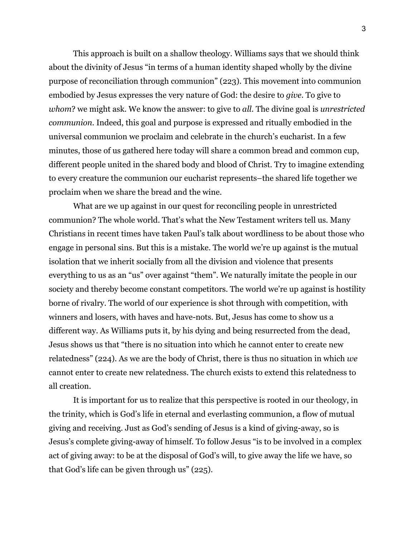This approach is built on a shallow theology. Williams says that we should think about the divinity of Jesus "in terms of a human identity shaped wholly by the divine purpose of reconciliation through communion" (223). This movement into communion embodied by Jesus expresses the very nature of God: the desire to *give*. To give to *whom*? we might ask. We know the answer: to give to *all*. The divine goal is *unrestricted communion*. Indeed, this goal and purpose is expressed and ritually embodied in the universal communion we proclaim and celebrate in the church's eucharist. In a few minutes, those of us gathered here today will share a common bread and common cup, different people united in the shared body and blood of Christ. Try to imagine extending to every creature the communion our eucharist represents–the shared life together we proclaim when we share the bread and the wine.

What are we up against in our quest for reconciling people in unrestricted communion? The whole world. That's what the New Testament writers tell us. Many Christians in recent times have taken Paul's talk about wordliness to be about those who engage in personal sins. But this is a mistake. The world we're up against is the mutual isolation that we inherit socially from all the division and violence that presents everything to us as an "us" over against "them". We naturally imitate the people in our society and thereby become constant competitors. The world we're up against is hostility borne of rivalry. The world of our experience is shot through with competition, with winners and losers, with haves and have-nots. But, Jesus has come to show us a different way. As Williams puts it, by his dying and being resurrected from the dead, Jesus shows us that "there is no situation into which he cannot enter to create new relatedness" (224). As we are the body of Christ, there is thus no situation in which *we* cannot enter to create new relatedness. The church exists to extend this relatedness to all creation.

It is important for us to realize that this perspective is rooted in our theology, in the trinity, which is God's life in eternal and everlasting communion, a flow of mutual giving and receiving. Just as God's sending of Jesus is a kind of giving-away, so is Jesus's complete giving-away of himself. To follow Jesus "is to be involved in a complex act of giving away: to be at the disposal of God's will, to give away the life we have, so that God's life can be given through us" (225).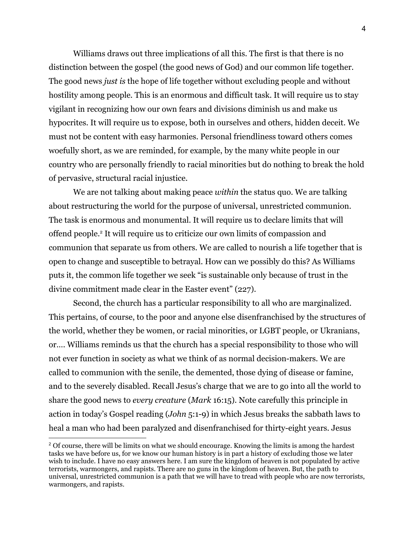Williams draws out three implications of all this. The first is that there is no distinction between the gospel (the good news of God) and our common life together. The good news *just is* the hope of life together without excluding people and without hostility among people. This is an enormous and difficult task. It will require us to stay vigilant in recognizing how our own fears and divisions diminish us and make us hypocrites. It will require us to expose, both in ourselves and others, hidden deceit. We must not be content with easy harmonies. Personal friendliness toward others comes woefully short, as we are reminded, for example, by the many white people in our country who are personally friendly to racial minorities but do nothing to break the hold of pervasive, structural racial injustice.

We are not talking about making peace *within* the status quo. We are talking about restructuring the world for the purpose of universal, unrestricted communion. The task is enormous and monumental. It will require us to declare limits that will offend people.<sup>2</sup> It will require us to criticize our own limits of compassion and communion that separate us from others. We are called to nourish a life together that is open to change and susceptible to betrayal. How can we possibly do this? As Williams puts it, the common life together we seek "is sustainable only because of trust in the divine commitment made clear in the Easter event" (227).

Second, the church has a particular responsibility to all who are marginalized. This pertains, of course, to the poor and anyone else disenfranchised by the structures of the world, whether they be women, or racial minorities, or LGBT people, or Ukranians, or…. Williams reminds us that the church has a special responsibility to those who will not ever function in society as what we think of as normal decision-makers. We are called to communion with the senile, the demented, those dying of disease or famine, and to the severely disabled. Recall Jesus's charge that we are to go into all the world to share the good news to *every creature* (*Mark* 16:15). Note carefully this principle in action in today's Gospel reading (*John* 5:1-9) in which Jesus breaks the sabbath laws to heal a man who had been paralyzed and disenfranchised for thirty-eight years. Jesus

<sup>&</sup>lt;sup>2</sup> Of course, there will be limits on what we should encourage. Knowing the limits is among the hardest tasks we have before us, for we know our human history is in part a history of excluding those we later wish to include. I have no easy answers here. I am sure the kingdom of heaven is not populated by active terrorists, warmongers, and rapists. There are no guns in the kingdom of heaven. But, the path to universal, unrestricted communion is a path that we will have to tread with people who are now terrorists, warmongers, and rapists.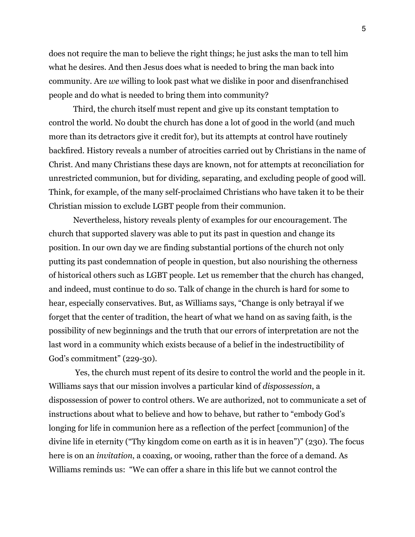does not require the man to believe the right things; he just asks the man to tell him what he desires. And then Jesus does what is needed to bring the man back into community. Are *we* willing to look past what we dislike in poor and disenfranchised people and do what is needed to bring them into community?

Third, the church itself must repent and give up its constant temptation to control the world. No doubt the church has done a lot of good in the world (and much more than its detractors give it credit for), but its attempts at control have routinely backfired. History reveals a number of atrocities carried out by Christians in the name of Christ. And many Christians these days are known, not for attempts at reconciliation for unrestricted communion, but for dividing, separating, and excluding people of good will. Think, for example, of the many self-proclaimed Christians who have taken it to be their Christian mission to exclude LGBT people from their communion.

Nevertheless, history reveals plenty of examples for our encouragement. The church that supported slavery was able to put its past in question and change its position. In our own day we are finding substantial portions of the church not only putting its past condemnation of people in question, but also nourishing the otherness of historical others such as LGBT people. Let us remember that the church has changed, and indeed, must continue to do so. Talk of change in the church is hard for some to hear, especially conservatives. But, as Williams says, "Change is only betrayal if we forget that the center of tradition, the heart of what we hand on as saving faith, is the possibility of new beginnings and the truth that our errors of interpretation are not the last word in a community which exists because of a belief in the indestructibility of God's commitment" (229-30).

Yes, the church must repent of its desire to control the world and the people in it. Williams says that our mission involves a particular kind of *dispossession*, a dispossession of power to control others. We are authorized, not to communicate a set of instructions about what to believe and how to behave, but rather to "embody God's longing for life in communion here as a reflection of the perfect [communion] of the divine life in eternity ("Thy kingdom come on earth as it is in heaven")" (230). The focus here is on an *invitation*, a coaxing, or wooing, rather than the force of a demand. As Williams reminds us: "We can offer a share in this life but we cannot control the